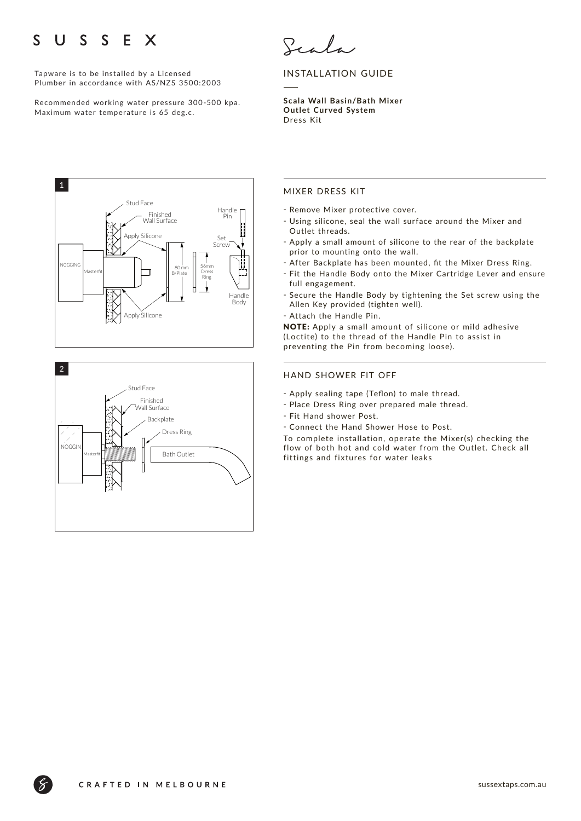### $\mathbf{U}$ S S E X S

Tapware is to be installed by a Licensed Plumber in accordance with AS/NZS 3500:2003

Recommended working water pressure 300-500 kpa. Maximum water temperature is 65 deg.c.



# INSTALLATION GUIDE

**Scala Wall Basin/Bath Mixer Outlet Cur ved System**  Dress Kit





# MIXER DRESS KIT

- Remove Mixer protective cover.
- ҃ Using silicone, seal the wall surface around the Mixer and Outlet threads.
- Apply a small amount of silicone to the rear of the backplate prior to mounting onto the wall.
- After Backplate has been mounted, fit the Mixer Dress Ring.
- ҃ Fit the Handle Body onto the Mixer Cartridge Lever and ensure full engagement.
- ҃ Secure the Handle Body by tightening the Set screw using the Allen Key provided (tighten well).
- Attach the Handle Pin.

NOTE: Apply a small amount of silicone or mild adhesive (Loctite) to the thread of the Handle Pin to assist in preventing the Pin from becoming loose).

### HAND SHOWER FIT OFF

- ҃ Apply sealing tape (Teflon) to male thread.
- Place Dress Ring over prepared male thread.
- Fit Hand shower Post.
- ҃ Connect the Hand Shower Hose to Post.

To complete installation, operate the Mixer(s) checking the flow of both hot and cold water from the Outlet. Check all fittings and fixtures for water leaks